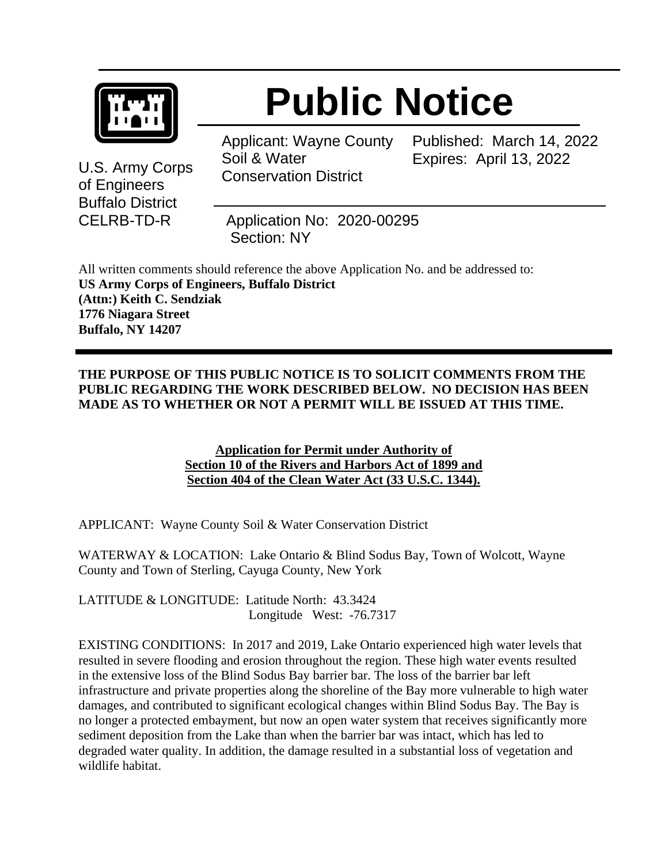

# **Public Notice**

Applicant: Wayne County Soil & Water Conservation District

Published: March 14, 2022 Expires: April 13, 2022

U.S. Army Corps of Engineers Buffalo District

CELRB-TD-R Application No: 2020-00295 Section: NY

All written comments should reference the above Application No. and be addressed to: **US Army Corps of Engineers, Buffalo District (Attn:) Keith C. Sendziak 1776 Niagara Street Buffalo, NY 14207**

### **THE PURPOSE OF THIS PUBLIC NOTICE IS TO SOLICIT COMMENTS FROM THE PUBLIC REGARDING THE WORK DESCRIBED BELOW. NO DECISION HAS BEEN MADE AS TO WHETHER OR NOT A PERMIT WILL BE ISSUED AT THIS TIME.**

**Application for Permit under Authority of Section 10 of the Rivers and Harbors Act of 1899 and Section 404 of the Clean Water Act (33 U.S.C. 1344).**

APPLICANT: Wayne County Soil & Water Conservation District

WATERWAY & LOCATION: Lake Ontario & Blind Sodus Bay, Town of Wolcott, Wayne County and Town of Sterling, Cayuga County, New York

LATITUDE & LONGITUDE: Latitude North: 43.3424 Longitude West: -76.7317

EXISTING CONDITIONS: In 2017 and 2019, Lake Ontario experienced high water levels that resulted in severe flooding and erosion throughout the region. These high water events resulted in the extensive loss of the Blind Sodus Bay barrier bar. The loss of the barrier bar left infrastructure and private properties along the shoreline of the Bay more vulnerable to high water damages, and contributed to significant ecological changes within Blind Sodus Bay. The Bay is no longer a protected embayment, but now an open water system that receives significantly more sediment deposition from the Lake than when the barrier bar was intact, which has led to degraded water quality. In addition, the damage resulted in a substantial loss of vegetation and wildlife habitat.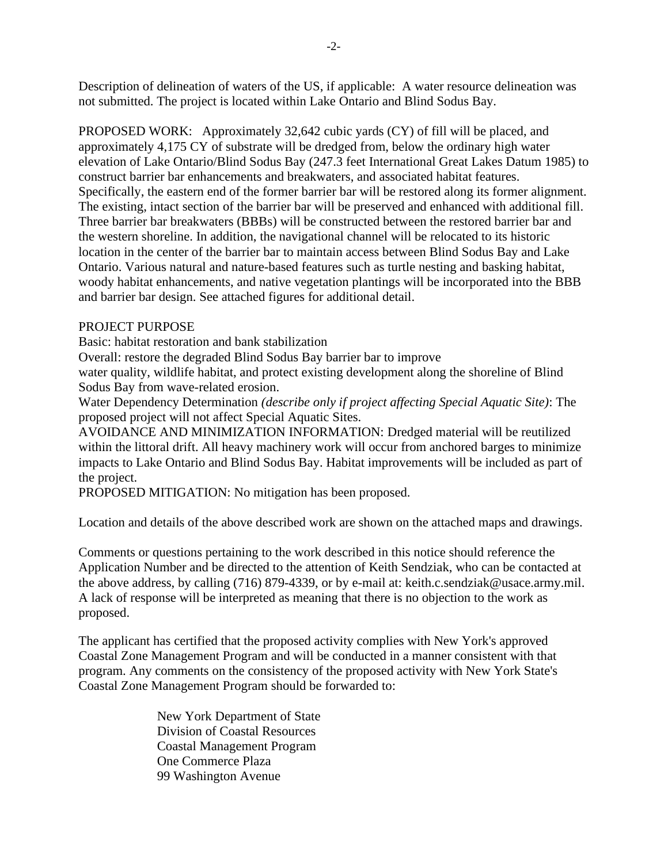Description of delineation of waters of the US, if applicable: A water resource delineation was not submitted. The project is located within Lake Ontario and Blind Sodus Bay.

PROPOSED WORK: Approximately 32,642 cubic yards (CY) of fill will be placed, and approximately 4,175 CY of substrate will be dredged from, below the ordinary high water elevation of Lake Ontario/Blind Sodus Bay (247.3 feet International Great Lakes Datum 1985) to construct barrier bar enhancements and breakwaters, and associated habitat features. Specifically, the eastern end of the former barrier bar will be restored along its former alignment. The existing, intact section of the barrier bar will be preserved and enhanced with additional fill. Three barrier bar breakwaters (BBBs) will be constructed between the restored barrier bar and the western shoreline. In addition, the navigational channel will be relocated to its historic location in the center of the barrier bar to maintain access between Blind Sodus Bay and Lake Ontario. Various natural and nature-based features such as turtle nesting and basking habitat, woody habitat enhancements, and native vegetation plantings will be incorporated into the BBB and barrier bar design. See attached figures for additional detail.

#### PROJECT PURPOSE

Basic: habitat restoration and bank stabilization

Overall: restore the degraded Blind Sodus Bay barrier bar to improve

water quality, wildlife habitat, and protect existing development along the shoreline of Blind Sodus Bay from wave-related erosion.

Water Dependency Determination *(describe only if project affecting Special Aquatic Site)*: The proposed project will not affect Special Aquatic Sites.

AVOIDANCE AND MINIMIZATION INFORMATION: Dredged material will be reutilized within the littoral drift. All heavy machinery work will occur from anchored barges to minimize impacts to Lake Ontario and Blind Sodus Bay. Habitat improvements will be included as part of the project.

PROPOSED MITIGATION: No mitigation has been proposed.

Location and details of the above described work are shown on the attached maps and drawings.

Comments or questions pertaining to the work described in this notice should reference the Application Number and be directed to the attention of Keith Sendziak, who can be contacted at the above address, by calling (716) 879-4339, or by e-mail at: keith.c.sendziak@usace.army.mil. A lack of response will be interpreted as meaning that there is no objection to the work as proposed.

The applicant has certified that the proposed activity complies with New York's approved Coastal Zone Management Program and will be conducted in a manner consistent with that program. Any comments on the consistency of the proposed activity with New York State's Coastal Zone Management Program should be forwarded to:

> New York Department of State Division of Coastal Resources Coastal Management Program One Commerce Plaza 99 Washington Avenue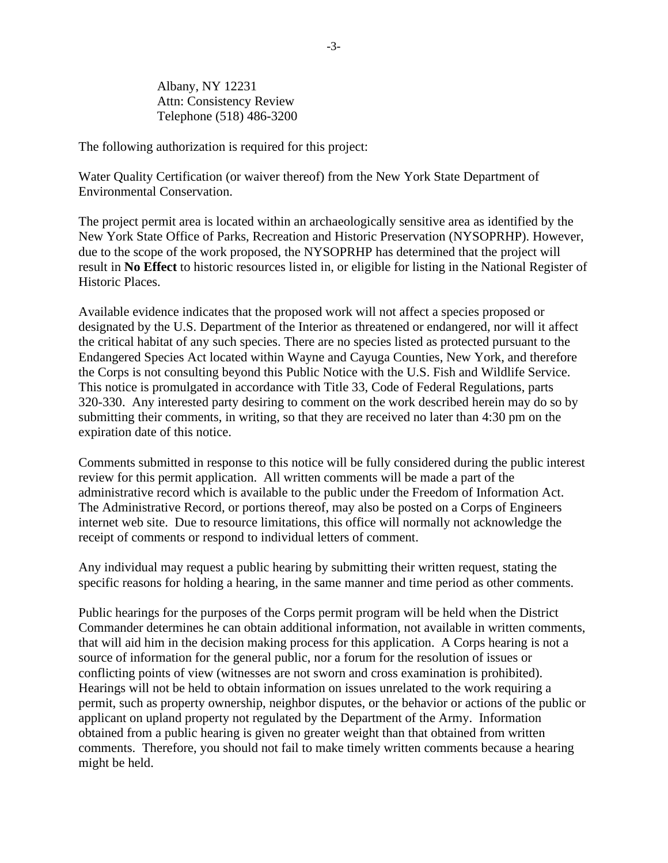Albany, NY 12231 Attn: Consistency Review Telephone (518) 486-3200

The following authorization is required for this project:

Water Quality Certification (or waiver thereof) from the New York State Department of Environmental Conservation.

The project permit area is located within an archaeologically sensitive area as identified by the New York State Office of Parks, Recreation and Historic Preservation (NYSOPRHP). However, due to the scope of the work proposed, the NYSOPRHP has determined that the project will result in **No Effect** to historic resources listed in, or eligible for listing in the National Register of Historic Places.

Available evidence indicates that the proposed work will not affect a species proposed or designated by the U.S. Department of the Interior as threatened or endangered, nor will it affect the critical habitat of any such species. There are no species listed as protected pursuant to the Endangered Species Act located within Wayne and Cayuga Counties, New York, and therefore the Corps is not consulting beyond this Public Notice with the U.S. Fish and Wildlife Service. This notice is promulgated in accordance with Title 33, Code of Federal Regulations, parts 320-330. Any interested party desiring to comment on the work described herein may do so by submitting their comments, in writing, so that they are received no later than 4:30 pm on the expiration date of this notice.

Comments submitted in response to this notice will be fully considered during the public interest review for this permit application. All written comments will be made a part of the administrative record which is available to the public under the Freedom of Information Act. The Administrative Record, or portions thereof, may also be posted on a Corps of Engineers internet web site. Due to resource limitations, this office will normally not acknowledge the receipt of comments or respond to individual letters of comment.

Any individual may request a public hearing by submitting their written request, stating the specific reasons for holding a hearing, in the same manner and time period as other comments.

Public hearings for the purposes of the Corps permit program will be held when the District Commander determines he can obtain additional information, not available in written comments, that will aid him in the decision making process for this application. A Corps hearing is not a source of information for the general public, nor a forum for the resolution of issues or conflicting points of view (witnesses are not sworn and cross examination is prohibited). Hearings will not be held to obtain information on issues unrelated to the work requiring a permit, such as property ownership, neighbor disputes, or the behavior or actions of the public or applicant on upland property not regulated by the Department of the Army. Information obtained from a public hearing is given no greater weight than that obtained from written comments. Therefore, you should not fail to make timely written comments because a hearing might be held.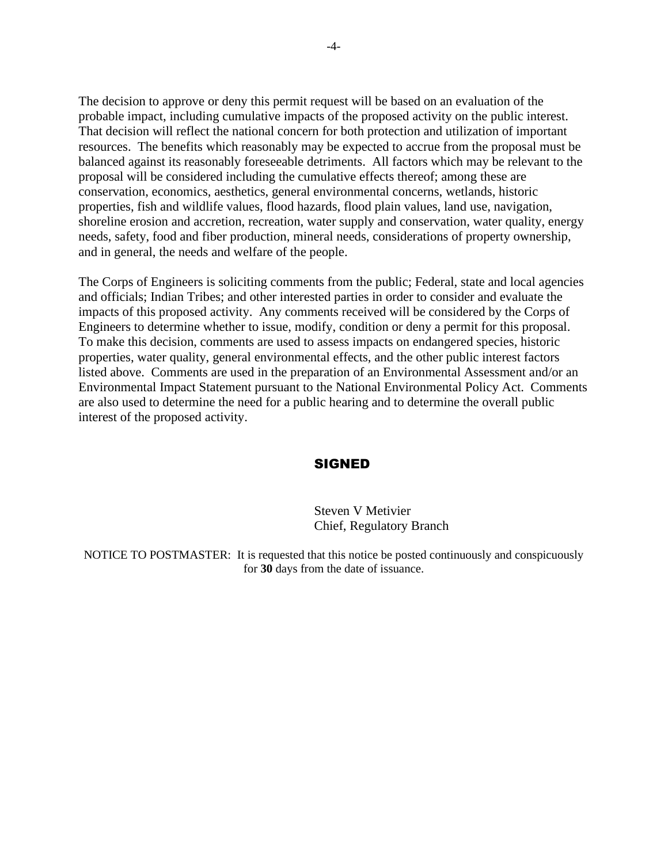The decision to approve or deny this permit request will be based on an evaluation of the probable impact, including cumulative impacts of the proposed activity on the public interest. That decision will reflect the national concern for both protection and utilization of important resources. The benefits which reasonably may be expected to accrue from the proposal must be balanced against its reasonably foreseeable detriments. All factors which may be relevant to the proposal will be considered including the cumulative effects thereof; among these are conservation, economics, aesthetics, general environmental concerns, wetlands, historic properties, fish and wildlife values, flood hazards, flood plain values, land use, navigation, shoreline erosion and accretion, recreation, water supply and conservation, water quality, energy needs, safety, food and fiber production, mineral needs, considerations of property ownership, and in general, the needs and welfare of the people.

The Corps of Engineers is soliciting comments from the public; Federal, state and local agencies and officials; Indian Tribes; and other interested parties in order to consider and evaluate the impacts of this proposed activity. Any comments received will be considered by the Corps of Engineers to determine whether to issue, modify, condition or deny a permit for this proposal. To make this decision, comments are used to assess impacts on endangered species, historic properties, water quality, general environmental effects, and the other public interest factors listed above. Comments are used in the preparation of an Environmental Assessment and/or an Environmental Impact Statement pursuant to the National Environmental Policy Act. Comments are also used to determine the need for a public hearing and to determine the overall public interest of the proposed activity.

#### SIGNED

#### Steven V Metivier Chief, Regulatory Branch

NOTICE TO POSTMASTER: It is requested that this notice be posted continuously and conspicuously for **30** days from the date of issuance.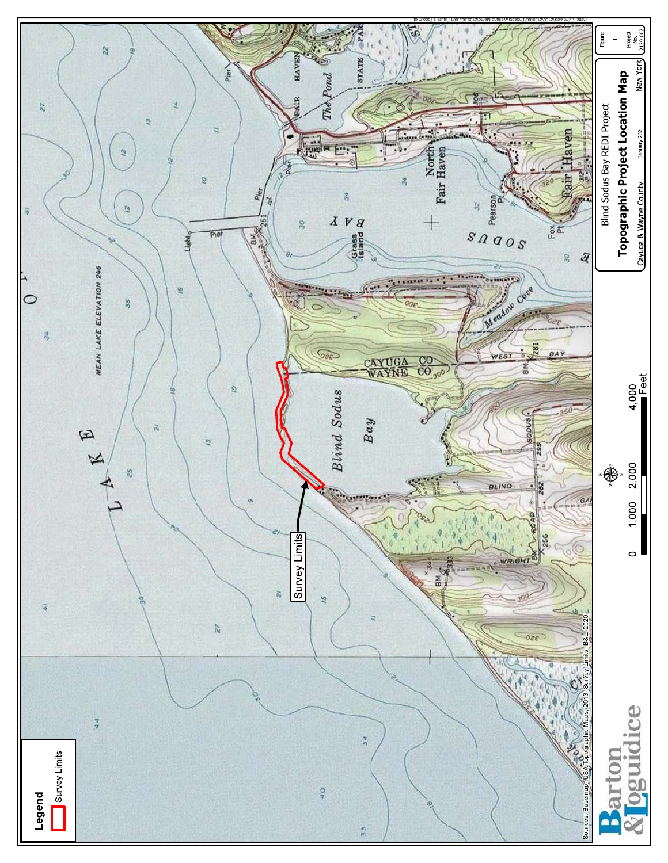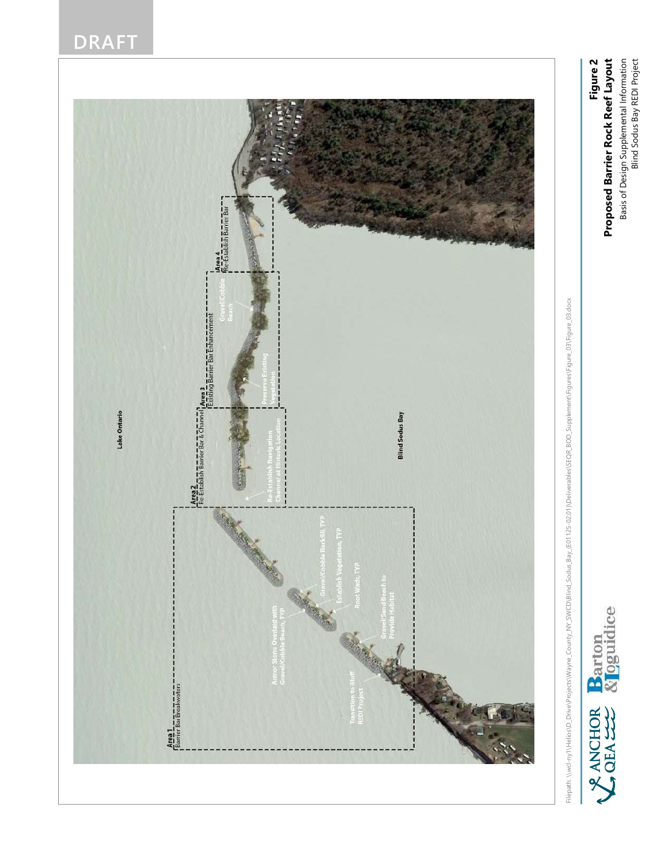## DRAFT



Hepath Workhy Mellion Direct Protocology and Social Direct Direct Direct Research Direct Direct Direct Direct Direct Direct Direct Direct Direct Direct Direct Direct Direct Direct Direct Direct Direct Direct Direct Direct